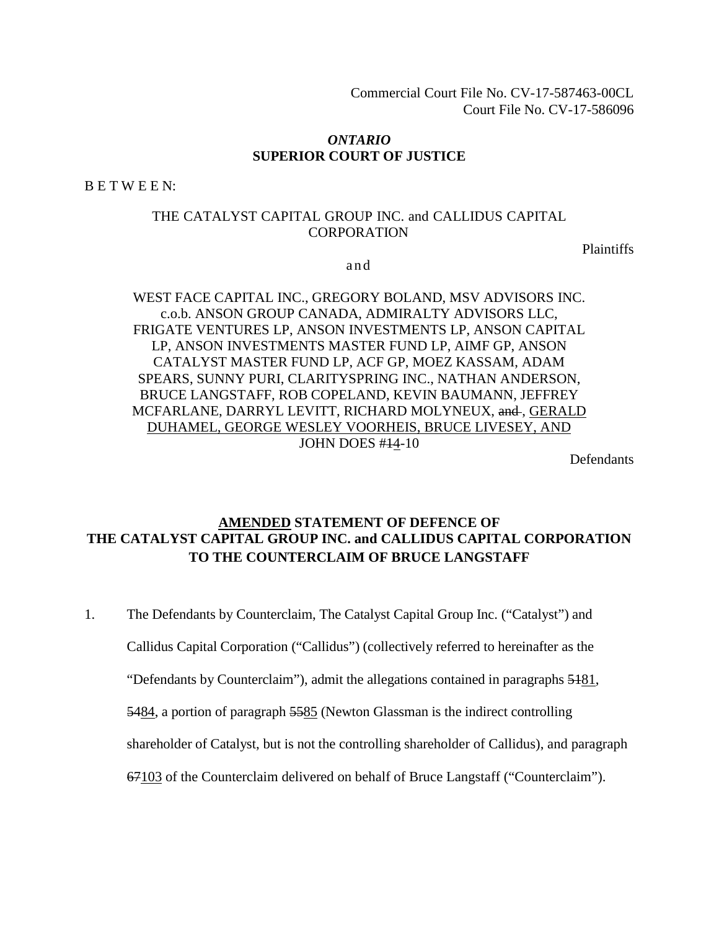Commercial Court File No. CV-17-587463-00CL Court File No. CV-17-586096

#### *ONTARIO*  **SUPERIOR COURT OF JUSTICE**

B E T W E E N:

#### THE CATALYST CAPITAL GROUP INC. and CALLIDUS CAPITAL CORPORATION

Plaintiffs

a n d

# WEST FACE CAPITAL INC., GREGORY BOLAND, MSV ADVISORS INC. c.o.b. ANSON GROUP CANADA, ADMIRALTY ADVISORS LLC, FRIGATE VENTURES LP, ANSON INVESTMENTS LP, ANSON CAPITAL LP, ANSON INVESTMENTS MASTER FUND LP, AIMF GP, ANSON CATALYST MASTER FUND LP, ACF GP, MOEZ KASSAM, ADAM SPEARS, SUNNY PURI, CLARITYSPRING INC., NATHAN ANDERSON, BRUCE LANGSTAFF, ROB COPELAND, KEVIN BAUMANN, JEFFREY MCFARLANE, DARRYL LEVITT, RICHARD MOLYNEUX, and, GERALD DUHAMEL, GEORGE WESLEY VOORHEIS, BRUCE LIVESEY, AND JOHN DOES #14-10

**Defendants** 

# **AMENDED STATEMENT OF DEFENCE OF THE CATALYST CAPITAL GROUP INC. and CALLIDUS CAPITAL CORPORATION TO THE COUNTERCLAIM OF BRUCE LANGSTAFF**

1. The Defendants by Counterclaim, The Catalyst Capital Group Inc. ("Catalyst") and

Callidus Capital Corporation ("Callidus") (collectively referred to hereinafter as the

"Defendants by Counterclaim"), admit the allegations contained in paragraphs 5181,

5484, a portion of paragraph 5585 (Newton Glassman is the indirect controlling

shareholder of Catalyst, but is not the controlling shareholder of Callidus), and paragraph

67103 of the Counterclaim delivered on behalf of Bruce Langstaff ("Counterclaim").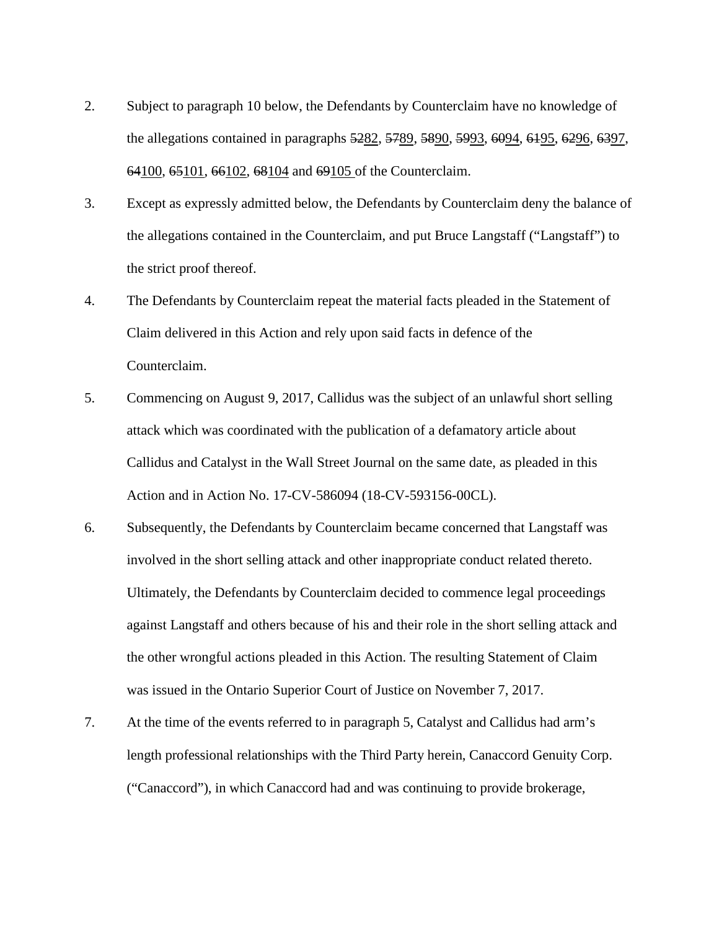- 2. Subject to paragraph 10 below, the Defendants by Counterclaim have no knowledge of the allegations contained in paragraphs 5282, 5789, 5890, 5993, 6094, 6195, 6296, 6397, 64100, 65101, 66102, 68104 and 69105 of the Counterclaim.
- 3. Except as expressly admitted below, the Defendants by Counterclaim deny the balance of the allegations contained in the Counterclaim, and put Bruce Langstaff ("Langstaff") to the strict proof thereof.
- 4. The Defendants by Counterclaim repeat the material facts pleaded in the Statement of Claim delivered in this Action and rely upon said facts in defence of the Counterclaim.
- 5. Commencing on August 9, 2017, Callidus was the subject of an unlawful short selling attack which was coordinated with the publication of a defamatory article about Callidus and Catalyst in the Wall Street Journal on the same date, as pleaded in this Action and in Action No. 17-CV-586094 (18-CV-593156-00CL).
- 6. Subsequently, the Defendants by Counterclaim became concerned that Langstaff was involved in the short selling attack and other inappropriate conduct related thereto. Ultimately, the Defendants by Counterclaim decided to commence legal proceedings against Langstaff and others because of his and their role in the short selling attack and the other wrongful actions pleaded in this Action. The resulting Statement of Claim was issued in the Ontario Superior Court of Justice on November 7, 2017.
- 7. At the time of the events referred to in paragraph 5, Catalyst and Callidus had arm's length professional relationships with the Third Party herein, Canaccord Genuity Corp. ("Canaccord"), in which Canaccord had and was continuing to provide brokerage,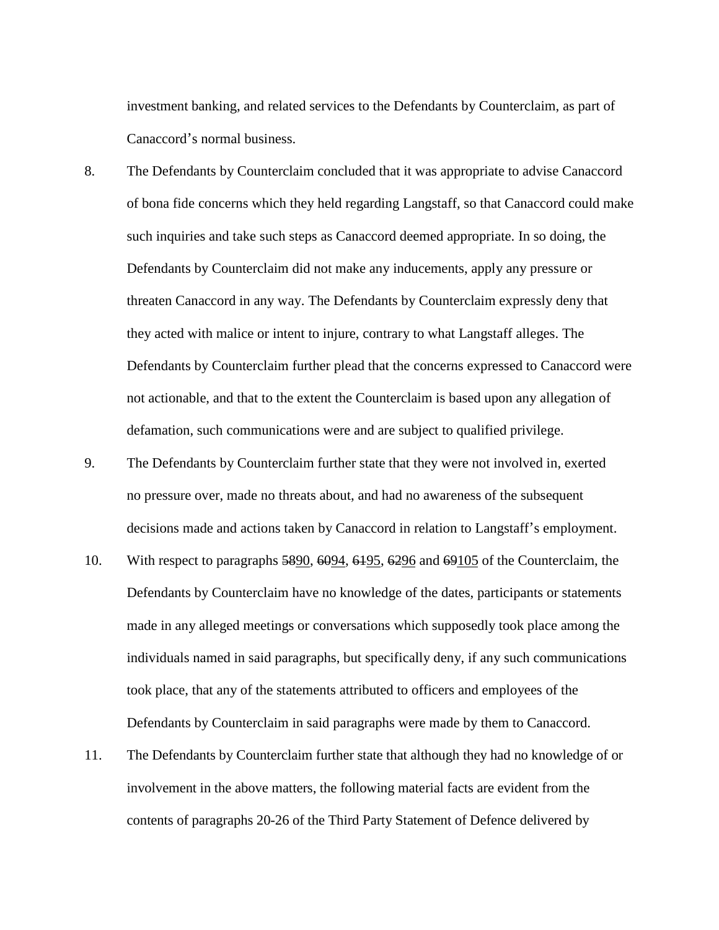investment banking, and related services to the Defendants by Counterclaim, as part of Canaccord's normal business.

- 8. The Defendants by Counterclaim concluded that it was appropriate to advise Canaccord of bona fide concerns which they held regarding Langstaff, so that Canaccord could make such inquiries and take such steps as Canaccord deemed appropriate. In so doing, the Defendants by Counterclaim did not make any inducements, apply any pressure or threaten Canaccord in any way. The Defendants by Counterclaim expressly deny that they acted with malice or intent to injure, contrary to what Langstaff alleges. The Defendants by Counterclaim further plead that the concerns expressed to Canaccord were not actionable, and that to the extent the Counterclaim is based upon any allegation of defamation, such communications were and are subject to qualified privilege.
- 9. The Defendants by Counterclaim further state that they were not involved in, exerted no pressure over, made no threats about, and had no awareness of the subsequent decisions made and actions taken by Canaccord in relation to Langstaff's employment.
- 10. With respect to paragraphs 5890, 6094, 6195, 6296 and 69105 of the Counterclaim, the Defendants by Counterclaim have no knowledge of the dates, participants or statements made in any alleged meetings or conversations which supposedly took place among the individuals named in said paragraphs, but specifically deny, if any such communications took place, that any of the statements attributed to officers and employees of the Defendants by Counterclaim in said paragraphs were made by them to Canaccord.
- 11. The Defendants by Counterclaim further state that although they had no knowledge of or involvement in the above matters, the following material facts are evident from the contents of paragraphs 20-26 of the Third Party Statement of Defence delivered by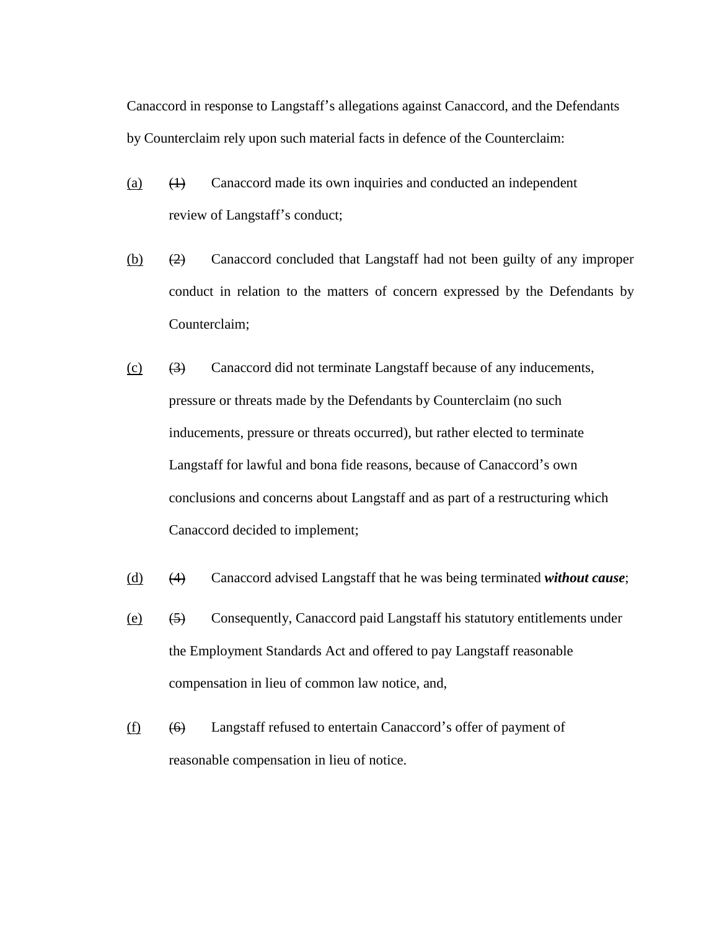Canaccord in response to Langstaff's allegations against Canaccord, and the Defendants by Counterclaim rely upon such material facts in defence of the Counterclaim:

- (a)  $(1)$  Canaccord made its own inquiries and conducted an independent review of Langstaff's conduct;
- (b)  $(2)$  Canaccord concluded that Langstaff had not been guilty of any improper conduct in relation to the matters of concern expressed by the Defendants by Counterclaim;
- (c) (3) Canaccord did not terminate Langstaff because of any inducements, pressure or threats made by the Defendants by Counterclaim (no such inducements, pressure or threats occurred), but rather elected to terminate Langstaff for lawful and bona fide reasons, because of Canaccord's own conclusions and concerns about Langstaff and as part of a restructuring which Canaccord decided to implement;
- (d) (4) Canaccord advised Langstaff that he was being terminated *without cause*;
- (e) (5) Consequently, Canaccord paid Langstaff his statutory entitlements under the Employment Standards Act and offered to pay Langstaff reasonable compensation in lieu of common law notice, and,
- $(f)$  (6) Langstaff refused to entertain Canaccord's offer of payment of reasonable compensation in lieu of notice.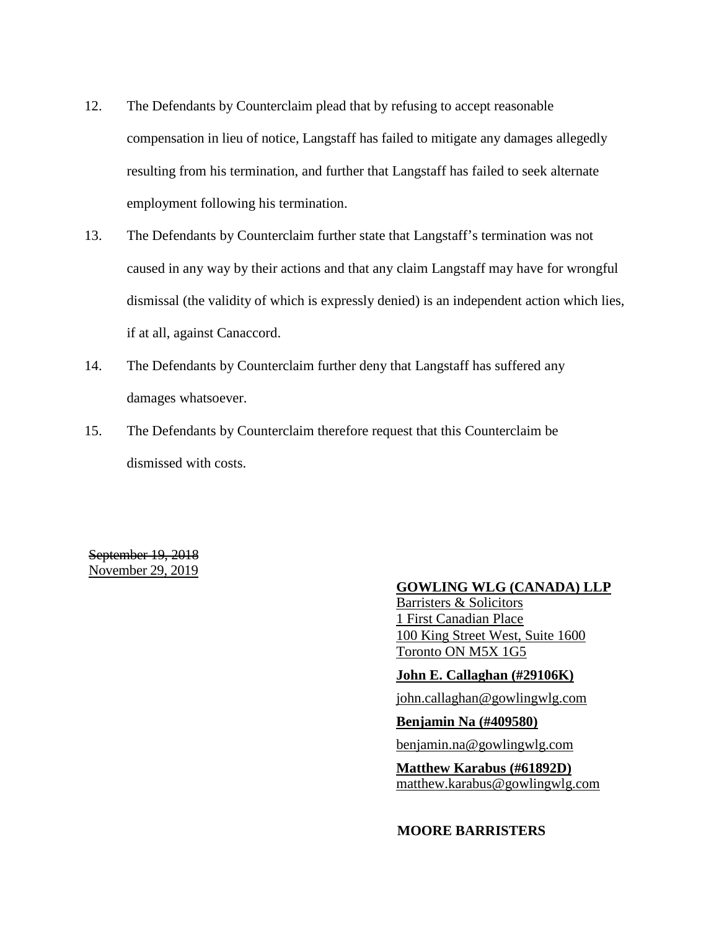- 12. The Defendants by Counterclaim plead that by refusing to accept reasonable compensation in lieu of notice, Langstaff has failed to mitigate any damages allegedly resulting from his termination, and further that Langstaff has failed to seek alternate employment following his termination.
- 13. The Defendants by Counterclaim further state that Langstaff's termination was not caused in any way by their actions and that any claim Langstaff may have for wrongful dismissal (the validity of which is expressly denied) is an independent action which lies, if at all, against Canaccord.
- 14. The Defendants by Counterclaim further deny that Langstaff has suffered any damages whatsoever.
- 15. The Defendants by Counterclaim therefore request that this Counterclaim be dismissed with costs.

September 19, 2018 November 29, 2019

### **GOWLING WLG (CANADA) LLP**

Barristers & Solicitors 1 First Canadian Place 100 King Street West, Suite 1600 Toronto ON M5X 1G5

**John E. Callaghan (#29106K)** 

john.callaghan@gowlingwlg.com

**Benjamin Na (#409580)** 

benjamin.na@gowlingwlg.com

**Matthew Karabus (#61892D)**  matthew.karabus@gowlingwlg.com

**MOORE BARRISTERS**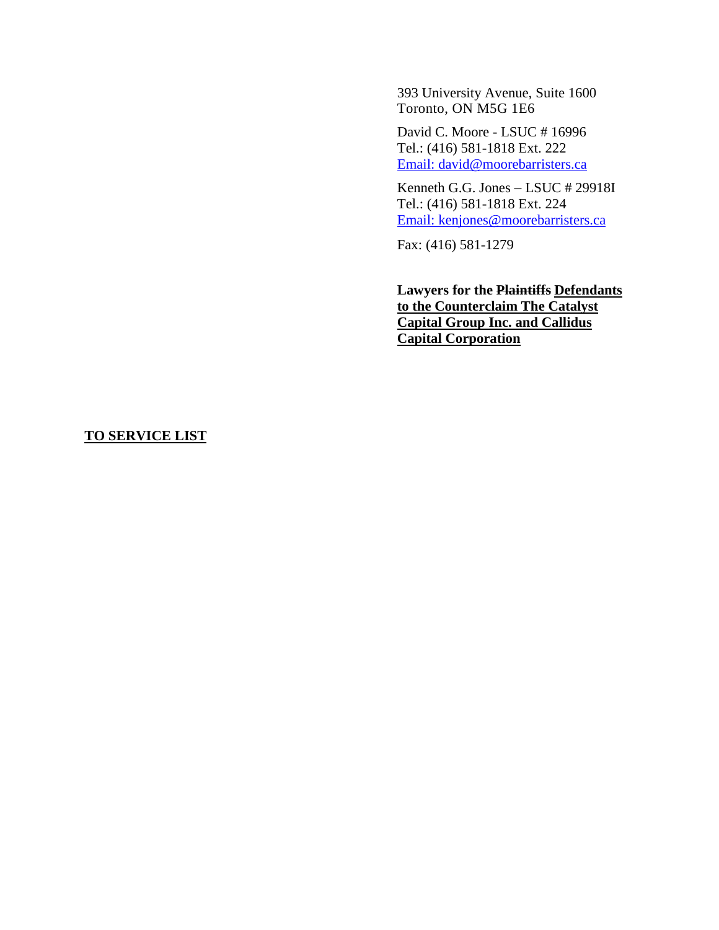393 University Avenue, Suite 1600 Toronto, ON M5G 1E6

David C. Moore - LSUC # 16996 Tel.: (416) 581-1818 Ext. 222 Email: david@moorebarristers.ca

Kenneth G.G. Jones – LSUC # 29918I Tel.: (416) 581-1818 Ext. 224 Email: kenjones@moorebarristers.ca

Fax: (416) 581-1279

**Lawyers for the Plaintiffs Defendants to the Counterclaim The Catalyst Capital Group Inc. and Callidus Capital Corporation** 

# **TO SERVICE LIST**